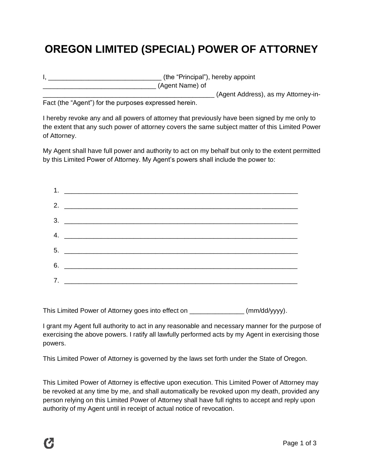## **OREGON LIMITED (SPECIAL) POWER OF ATTORNEY**

| (the "Principal"), hereby appoint   |
|-------------------------------------|
| (Agent Name) of                     |
| (Agent Address), as my Attorney-in- |

Fact (the "Agent") for the purposes expressed herein.

I hereby revoke any and all powers of attorney that previously have been signed by me only to the extent that any such power of attorney covers the same subject matter of this Limited Power of Attorney.

My Agent shall have full power and authority to act on my behalf but only to the extent permitted by this Limited Power of Attorney. My Agent's powers shall include the power to:

This Limited Power of Attorney goes into effect on \_\_\_\_\_\_\_\_\_\_\_\_\_\_\_ (mm/dd/yyyy).

I grant my Agent full authority to act in any reasonable and necessary manner for the purpose of exercising the above powers. I ratify all lawfully performed acts by my Agent in exercising those powers.

This Limited Power of Attorney is governed by the laws set forth under the State of Oregon.

This Limited Power of Attorney is effective upon execution. This Limited Power of Attorney may be revoked at any time by me, and shall automatically be revoked upon my death, provided any person relying on this Limited Power of Attorney shall have full rights to accept and reply upon authority of my Agent until in receipt of actual notice of revocation.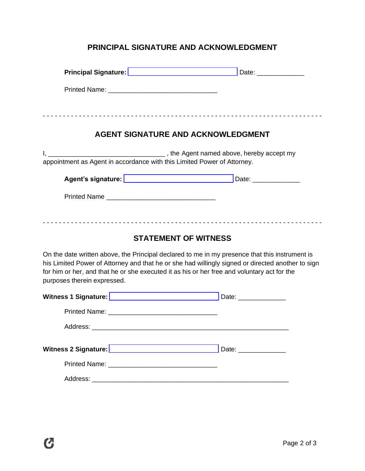## **PRINCIPAL SIGNATURE AND ACKNOWLEDGMENT**

| <b>AGENT SIGNATURE AND ACKNOWLEDGMENT</b>                                                                                                                                                                                                                                                                                                                        |  |  |  |  |  |  |  |
|------------------------------------------------------------------------------------------------------------------------------------------------------------------------------------------------------------------------------------------------------------------------------------------------------------------------------------------------------------------|--|--|--|--|--|--|--|
| appointment as Agent in accordance with this Limited Power of Attorney.                                                                                                                                                                                                                                                                                          |  |  |  |  |  |  |  |
|                                                                                                                                                                                                                                                                                                                                                                  |  |  |  |  |  |  |  |
|                                                                                                                                                                                                                                                                                                                                                                  |  |  |  |  |  |  |  |
| <b>STATEMENT OF WITNESS</b><br>On the date written above, the Principal declared to me in my presence that this instrument is<br>his Limited Power of Attorney and that he or she had willingly signed or directed another to sign<br>for him or her, and that he or she executed it as his or her free and voluntary act for the<br>purposes therein expressed. |  |  |  |  |  |  |  |
|                                                                                                                                                                                                                                                                                                                                                                  |  |  |  |  |  |  |  |
|                                                                                                                                                                                                                                                                                                                                                                  |  |  |  |  |  |  |  |
| Address:                                                                                                                                                                                                                                                                                                                                                         |  |  |  |  |  |  |  |
|                                                                                                                                                                                                                                                                                                                                                                  |  |  |  |  |  |  |  |
|                                                                                                                                                                                                                                                                                                                                                                  |  |  |  |  |  |  |  |
|                                                                                                                                                                                                                                                                                                                                                                  |  |  |  |  |  |  |  |
|                                                                                                                                                                                                                                                                                                                                                                  |  |  |  |  |  |  |  |

 $\boldsymbol{C}$